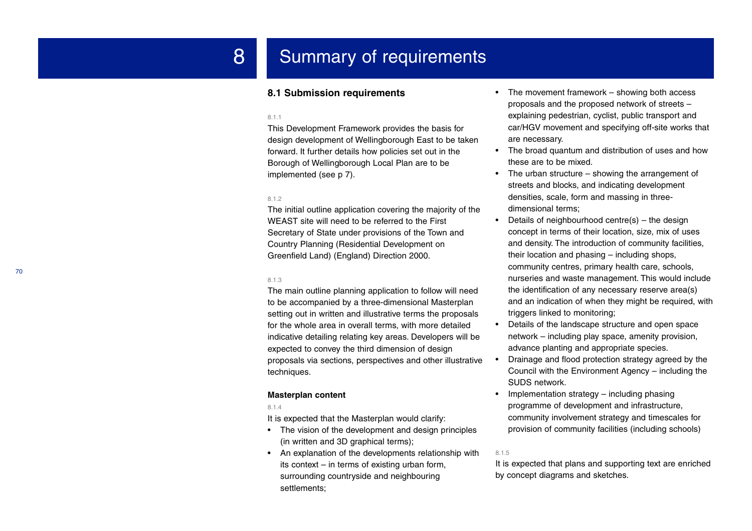# 8 Summary of requirements

# **8.1 Submission requirements**

#### 8.1.1

This Development Framework provides the basis for design development of Wellingborough East to be taken forward. It further details how policies set out in the Borough of Wellingborough Local Plan are to be implemented (see p 7).

#### 8.1.2

The initial outline application covering the majority of the WEAST site will need to be referred to the First Secretary of State under provisions of the Town and Country Planning (Residential Development on Greenfield Land) (England) Direction 2000.

#### 8.1.3

The main outline planning application to follow will need to be accompanied by a three-dimensional Masterplan setting out in written and illustrative terms the proposals for the whole area in overall terms, with more detailed indicative detailing relating key areas. Developers will be expected to convey the third dimension of design proposals via sections, perspectives and other illustrative techniques.

## **Masterplan content**

#### 8.1.4

It is expected that the Masterplan would clarify:

- The vision of the development and design principles (in written and 3D graphical terms);
- An explanation of the developments relationship with its context – in terms of existing urban form, surrounding countryside and neighbouring settlements;
- • The movement framework – showing both access proposals and the proposed network of streets – explaining pedestrian, cyclist, public transport and car/HGV movement and specifying off-site works that are necessary.
- The broad quantum and distribution of uses and how these are to be mixed.
- The urban structure showing the arrangement of streets and blocks, and indicating development densities, scale, form and massing in threedimensional terms;
- • Details of neighbourhood centre(s) – the design concept in terms of their location, size, mix of uses and density. The introduction of community facilities, their location and phasing – including shops, community centres, primary health care, schools, nurseries and waste management. This would include the identification of any necessary reserve area(s) and an indication of when they might be required, with triggers linked to monitoring;
- • Details of the landscape structure and open space network – including play space, amenity provision, advance planting and appropriate species.
- • Drainage and flood protection strategy agreed by the Council with the Environment Agency – including the SUDS network.
- • Implementation strategy – including phasing programme of development and infrastructure, community involvement strategy and timescales for provision of community facilities (including schools)

#### 8.1.5

It is expected that plans and supporting text are enriched by concept diagrams and sketches.